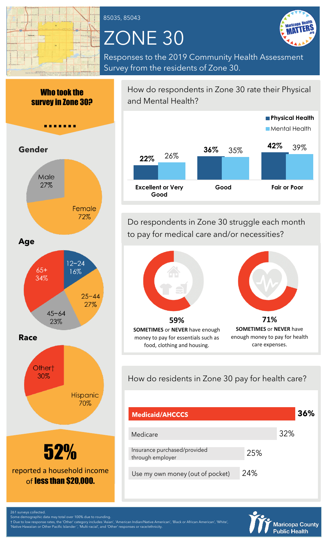

85035, 85043

# ZONE 30



Responses to the 2019 Community Health Assessment Survey from the residents of Zone 30.



How do respondents in Zone 30 rate their Physical and Mental Health?



Do respondents in Zone 30 struggle each month to pay for medical care and/or necessities?



money to pay for essentials such as food, clothing and housing.

enough money to pay for health care expenses.

How do residents in Zone 30 pay for health care?

| <b>Medicaid/AHCCCS</b>                           |     | 36% |
|--------------------------------------------------|-----|-----|
| Medicare                                         |     | 32% |
| Insurance purchased/provided<br>through employer | 25% |     |
| Use my own money (out of pocket)                 | 24% |     |



261 surveys collected.

Some demographic data may total over 100% due to rounding. † Due to low response rates, the 'Other' category includes 'Asian', 'American Indian/Native American', 'Black or African American', 'White', 'Native Hawaiian or Other Pacific Islander ', 'Multi-racial', and 'Other' responses or race/ethnicity.